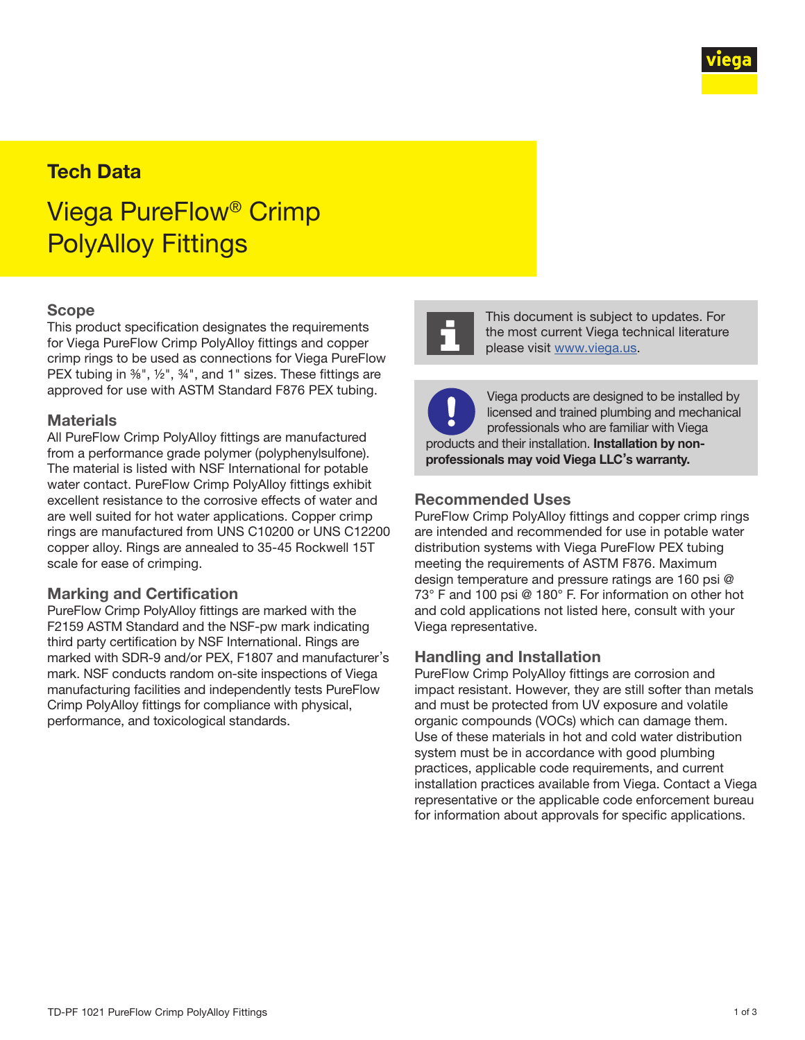

# Tech Data

# Viega PureFlow® Crimp PolyAlloy Fittings

#### Scope

This product specification designates the requirements for Viega PureFlow Crimp PolyAlloy fittings and copper crimp rings to be used as connections for Viega PureFlow PEX tubing in 3%", 1/2", 34", and 1" sizes. These fittings are approved for use with ASTM Standard F876 PEX tubing.

#### **Materials**

All PureFlow Crimp PolyAlloy fittings are manufactured from a performance grade polymer (polyphenylsulfone). The material is listed with NSF International for potable water contact. PureFlow Crimp PolyAlloy fittings exhibit excellent resistance to the corrosive effects of water and are well suited for hot water applications. Copper crimp rings are manufactured from UNS C10200 or UNS C12200 copper alloy. Rings are annealed to 35-45 Rockwell 15T scale for ease of crimping.

#### Marking and Certification

PureFlow Crimp PolyAlloy fittings are marked with the F2159 ASTM Standard and the NSF-pw mark indicating third party certification by NSF International. Rings are marked with SDR-9 and/or PEX, F1807 and manufacturer's mark. NSF conducts random on-site inspections of Viega manufacturing facilities and independently tests PureFlow Crimp PolyAlloy fittings for compliance with physical, performance, and toxicological standards.



This document is subject to updates. For the most current Viega technical literature please visit [www.viega.us](http://www.viega.us).

Viega products are designed to be installed by licensed and trained plumbing and mechanical professionals who are familiar with Viega products and their installation. Installation by nonprofessionals may void Viega LLC's warranty.

#### Recommended Uses

PureFlow Crimp PolyAlloy fittings and copper crimp rings are intended and recommended for use in potable water distribution systems with Viega PureFlow PEX tubing meeting the requirements of ASTM F876. Maximum design temperature and pressure ratings are 160 psi @ 73° F and 100 psi @ 180° F. For information on other hot and cold applications not listed here, consult with your Viega representative.

#### Handling and Installation

PureFlow Crimp PolyAlloy fittings are corrosion and impact resistant. However, they are still softer than metals and must be protected from UV exposure and volatile organic compounds (VOCs) which can damage them. Use of these materials in hot and cold water distribution system must be in accordance with good plumbing practices, applicable code requirements, and current installation practices available from Viega. Contact a Viega representative or the applicable code enforcement bureau for information about approvals for specific applications.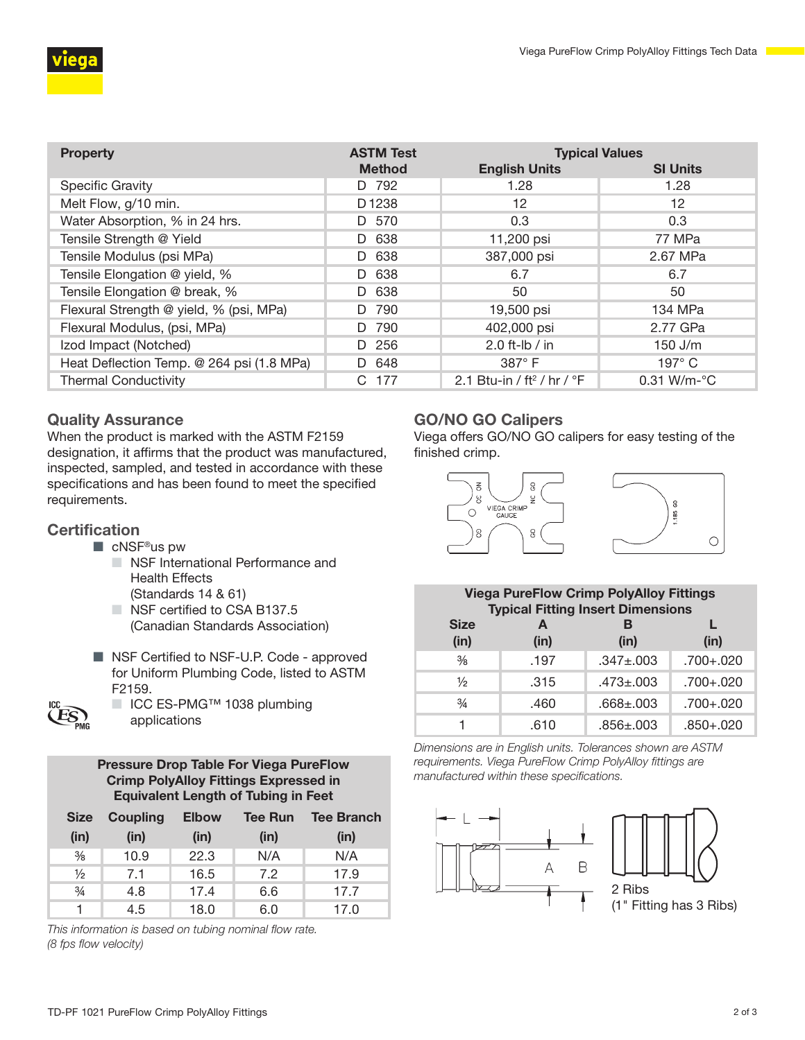

| <b>Property</b>                           | <b>ASTM Test</b>  | <b>Typical Values</b>                           |                         |
|-------------------------------------------|-------------------|-------------------------------------------------|-------------------------|
|                                           | <b>Method</b>     | <b>English Units</b>                            | <b>SI Units</b>         |
| <b>Specific Gravity</b>                   | D 792             | 1.28                                            | 1.28                    |
| Melt Flow, g/10 min.                      | D <sub>1238</sub> | 12                                              | 12                      |
| Water Absorption, % in 24 hrs.            | D 570             | 0.3                                             | 0.3                     |
| Tensile Strength @ Yield                  | 638<br>D.         | 11,200 psi                                      | 77 MPa                  |
| Tensile Modulus (psi MPa)                 | 638<br>D.         | 387,000 psi                                     | 2.67 MPa                |
| Tensile Elongation @ yield, %             | D 638             | 6.7                                             | 6.7                     |
| Tensile Elongation @ break, %             | 638<br>D.         | 50                                              | 50                      |
| Flexural Strength @ yield, % (psi, MPa)   | 790<br>D.         | 19,500 psi                                      | 134 MPa                 |
| Flexural Modulus, (psi, MPa)              | 790<br>D.         | 402,000 psi                                     | 2.77 GPa                |
| Izod Impact (Notched)                     | 256<br>D.         | 2.0 ft-lb / in                                  | $150$ J/m               |
| Heat Deflection Temp. @ 264 psi (1.8 MPa) | D 648             | 387°F                                           | $197^\circ$ C           |
| <b>Thermal Conductivity</b>               | C 177             | 2.1 Btu-in / ft <sup>2</sup> / hr / $\degree$ F | $0.31$ W/m- $\degree$ C |

## Quality Assurance

When the product is marked with the ASTM F2159 designation, it affirms that the product was manufactured, inspected, sampled, and tested in accordance with these specifications and has been found to meet the specified requirements.

### **Certification**

- cNSF<sup>®</sup>us pw
	- NSF International Performance and Health Effects (Standards 14 & 61)
	- NSF certified to CSA B137.5 (Canadian Standards Association)
- NSF Certified to NSF-U.P. Code approved for Uniform Plumbing Code, listed to ASTM F2159.
- ICC ES-PMG™ 1038 plumbing applications
	- Pressure Drop Table For Viega PureFlow Crimp PolyAlloy Fittings Expressed in Equivalent Length of Tubing in Feet

| <b>Size</b>   | <b>Coupling</b> | <b>Elbow</b> | <b>Tee Run</b> | <b>Tee Branch</b> |
|---------------|-----------------|--------------|----------------|-------------------|
| (in)          | (in)            | (in)         | (in)           | (in)              |
| $\frac{3}{8}$ | 10.9            | 22.3         | N/A            | N/A               |
| $\frac{1}{2}$ | 7.1             | 16.5         | 7.2            | 17.9              |
| $\frac{3}{4}$ | 4.8             | 17.4         | 6.6            | 17.7              |
|               | 4.5             | 18.0         | 6.0            | 17.0              |

*This information is based on tubing nominal flow rate. (8 fps flow velocity)*

# GO/NO GO Calipers

Viega offers GO/NO GO calipers for easy testing of the finished crimp.



| <b>Viega PureFlow Crimp PolyAlloy Fittings</b><br><b>Typical Fitting Insert Dimensions</b> |           |                 |               |
|--------------------------------------------------------------------------------------------|-----------|-----------------|---------------|
| <b>Size</b><br>(in)                                                                        | A<br>(in) | в<br>(in)       | (in)          |
| $\frac{3}{8}$                                                                              | .197      | $.347 \pm .003$ | $.700 + .020$ |
| $\frac{1}{2}$                                                                              | .315      | $.473 \pm .003$ | $.700 + .020$ |
| $\frac{3}{4}$                                                                              | .460      | $.668 \pm .003$ | $.700 + .020$ |
|                                                                                            | .610      | $.856 \pm .003$ | $.850 + .020$ |

*Dimensions are in English units. Tolerances shown are ASTM requirements. Viega PureFlow Crimp PolyAlloy fittings are manufactured within these specifications.*